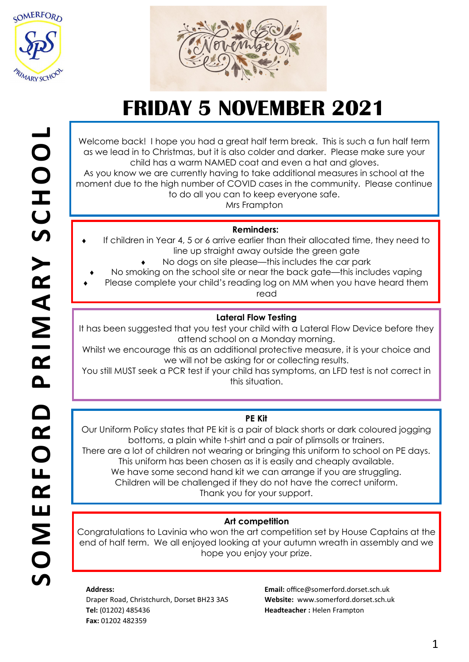



Welcome back! I hope you had a great half term break. This is such a fun half term as we lead in to Christmas, but it is also colder and darker. Please make sure your child has a warm NAMED coat and even a hat and gloves. As you know we are currently having to take additional measures in school at the moment due to the high number of COVID cases in the community. Please continue to do all you can to keep everyone safe.

Mrs Frampton

### **Reminders:**

- If children in Year 4, 5 or 6 arrive earlier than their allocated time, they need to line up straight away outside the green gate
	- No dogs on site please—this includes the car park
	- No smoking on the school site or near the back gate—this includes vaping
- Please complete your child's reading log on MM when you have heard them read

### **Lateral Flow Testing**

It has been suggested that you test your child with a Lateral Flow Device before they attend school on a Monday morning.

Whilst we encourage this as an additional protective measure, it is your choice and we will not be asking for or collecting results.

You still MUST seek a PCR test if your child has symptoms, an LFD test is not correct in this situation.

### **PE Kit**

Our Uniform Policy states that PE kit is a pair of black shorts or dark coloured jogging bottoms, a plain white t-shirt and a pair of plimsolls or trainers.

There are a lot of children not wearing or bringing this uniform to school on PE days. This uniform has been chosen as it is easily and cheaply available.

We have some second hand kit we can arrange if you are struggling. Children will be challenged if they do not have the correct uniform.

Thank you for your support.

### **Art competition**

Congratulations to Lavinia who won the art competition set by House Captains at the end of half term. We all enjoyed looking at your autumn wreath in assembly and we hope you enjoy your prize.

#### **Address:**

Draper Road, Christchurch, Dorset BH23 3AS **Tel:** (01202) 485436 **Fax:** 01202 482359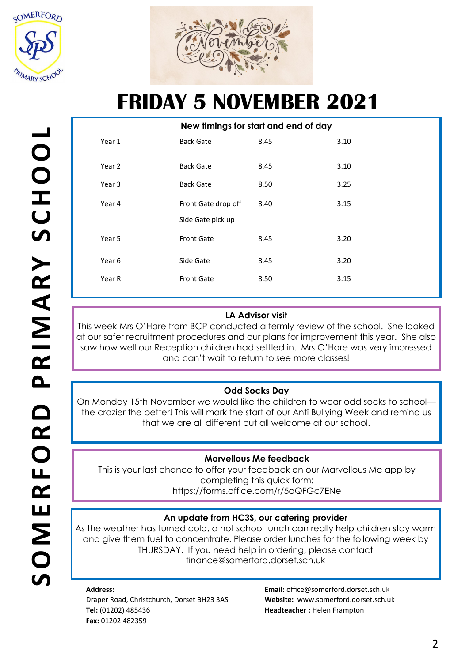



|        | New timings for start and end of day |      |      |
|--------|--------------------------------------|------|------|
| Year 1 | <b>Back Gate</b>                     | 8.45 | 3.10 |
| Year 2 | <b>Back Gate</b>                     | 8.45 | 3.10 |
| Year 3 | <b>Back Gate</b>                     | 8.50 | 3.25 |
| Year 4 | Front Gate drop off                  | 8.40 | 3.15 |
|        | Side Gate pick up                    |      |      |
| Year 5 | <b>Front Gate</b>                    | 8.45 | 3.20 |
| Year 6 | Side Gate                            | 8.45 | 3.20 |
| Year R | <b>Front Gate</b>                    | 8.50 | 3.15 |

### **LA Advisor visit**

This week Mrs O'Hare from BCP conducted a termly review of the school. She looked at our safer recruitment procedures and our plans for improvement this year. She also saw how well our Reception children had settled in. Mrs O'Hare was very impressed and can't wait to return to see more classes!

## **Odd Socks Day**

On Monday 15th November we would like the children to wear odd socks to school the crazier the better! This will mark the start of our Anti Bullying Week and remind us that we are all different but all welcome at our school.

### **Marvellous Me feedback**

This is your last chance to offer your feedback on our Marvellous Me app by completing this quick form: https://forms.office.com/r/5aQFGc7ENe

### **An update from HC3S, our catering provider**

As the weather has turned cold, a hot school lunch can really help children stay warm and give them fuel to concentrate. Please order lunches for the following week by THURSDAY. If you need help in ordering, please contact finance@somerford.dorset.sch.uk

#### **Address:**  Draper Road, Christchurch, Dorset BH23 3AS **Tel:** (01202) 485436 **Fax:** 01202 482359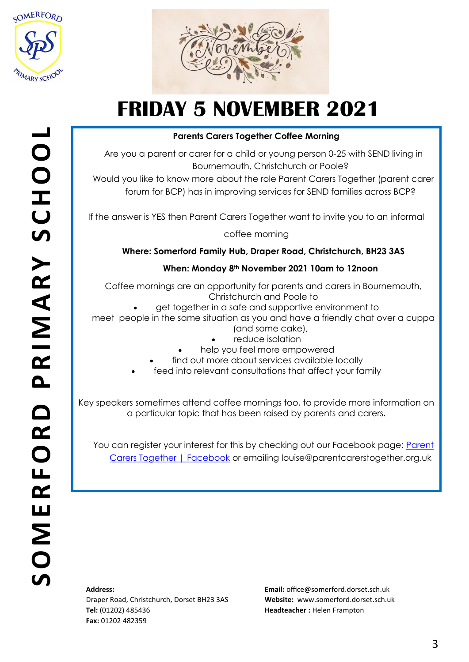



### **Parents Carers Together Coffee Morning**

Are you a parent or carer for a child or young person 0-25 with SEND living in Bournemouth, Christchurch or Poole?

Would you like to know more about the role Parent Carers Together (parent carer forum for BCP) has in improving services for SEND families across BCP?

If the answer is YES then Parent Carers Together want to invite you to an informal

coffee morning

**Where: Somerford Family Hub, Draper Road, Christchurch, BH23 3AS**

### **When: Monday 8th November 2021 10am to 12noon**

Coffee mornings are an opportunity for parents and carers in Bournemouth, Christchurch and Poole to

• get together in a safe and supportive environment to

meet people in the same situation as you and have a friendly chat over a cuppa (and some cake),

- reduce isolation
- help you feel more empowered
- find out more about services available locally
- feed into relevant consultations that affect your family

Key speakers sometimes attend coffee mornings too, to provide more information on a particular topic that has been raised by parents and carers.

You can register your interest for this by checking out our Facebook page: [Parent](https://www.facebook.com/parentcarerstogether)  [Carers Together | Facebook](https://www.facebook.com/parentcarerstogether) or emailing louise@parentcarerstogether.org.uk

### **Address:**

Draper Road, Christchurch, Dorset BH23 3AS **Tel:** (01202) 485436 **Fax:** 01202 482359